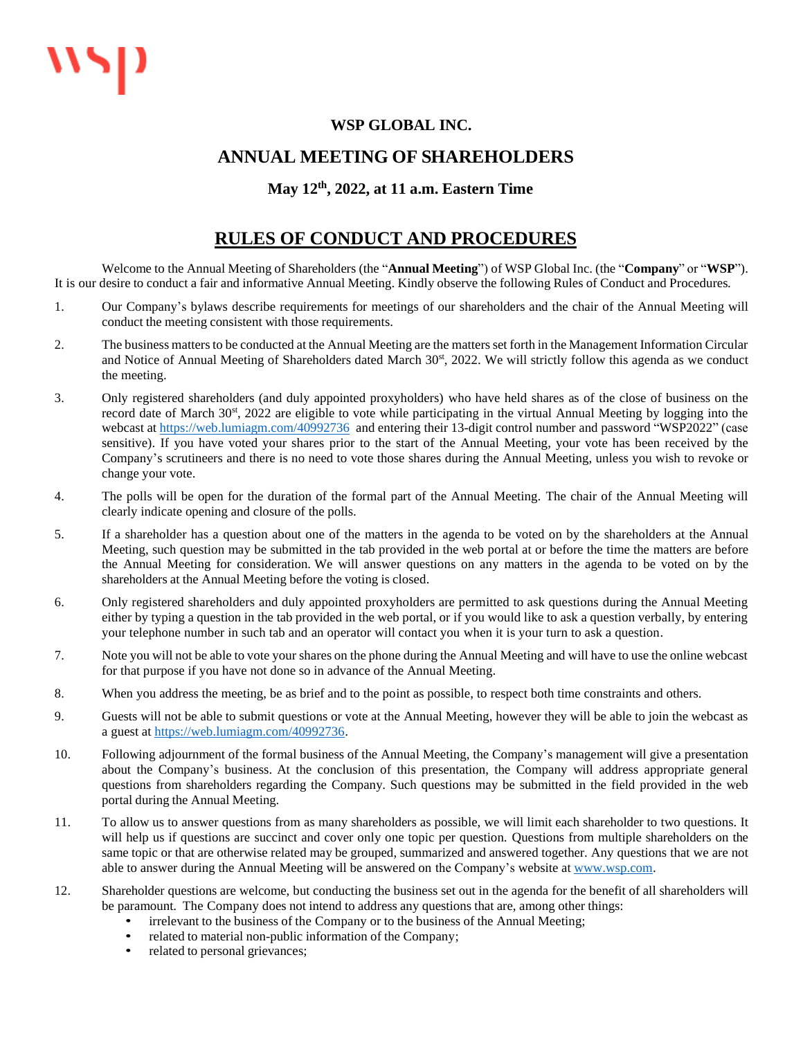## **WSP GLOBAL INC.**

## **ANNUAL MEETING OF SHAREHOLDERS**

## **May 12 th , 2022, at 11 a.m. Eastern Time**

## **RULES OF CONDUCT AND PROCEDURES**

Welcome to the Annual Meeting of Shareholders (the "**Annual Meeting**") of WSP Global Inc. (the "**Company**" or "**WSP**"). It is our desire to conduct a fair and informative Annual Meeting. Kindly observe the following Rules of Conduct and Procedures.

- 1. Our Company's bylaws describe requirements for meetings of our shareholders and the chair of the Annual Meeting will conduct the meeting consistent with those requirements.
- 2. The business matters to be conducted at the Annual Meeting are the matters set forth in the Management Information Circular and Notice of Annual Meeting of Shareholders dated March 30<sup>st</sup>, 2022. We will strictly follow this agenda as we conduct the meeting.
- 3. Only registered shareholders (and duly appointed proxyholders) who have held shares as of the close of business on the record date of March 30<sup>st</sup>, 2022 are eligible to vote while participating in the virtual Annual Meeting by logging into the webcast a[t https://web.lumiagm.com/40992736](https://web.lumiagm.com/40992736) and entering their 13-digit control number and password "WSP2022" (case sensitive). If you have voted your shares prior to the start of the Annual Meeting, your vote has been received by the Company's scrutineers and there is no need to vote those shares during the Annual Meeting, unless you wish to revoke or change your vote.
- 4. The polls will be open for the duration of the formal part of the Annual Meeting. The chair of the Annual Meeting will clearly indicate opening and closure of the polls.
- 5. If a shareholder has a question about one of the matters in the agenda to be voted on by the shareholders at the Annual Meeting, such question may be submitted in the tab provided in the web portal at or before the time the matters are before the Annual Meeting for consideration. We will answer questions on any matters in the agenda to be voted on by the shareholders at the Annual Meeting before the voting is closed.
- 6. Only registered shareholders and duly appointed proxyholders are permitted to ask questions during the Annual Meeting either by typing a question in the tab provided in the web portal, or if you would like to ask a question verbally, by entering your telephone number in such tab and an operator will contact you when it is your turn to ask a question.
- 7. Note you will not be able to vote your shares on the phone during the Annual Meeting and will have to use the online webcast for that purpose if you have not done so in advance of the Annual Meeting.
- 8. When you address the meeting, be as brief and to the point as possible, to respect both time constraints and others.
- 9. Guests will not be able to submit questions or vote at the Annual Meeting, however they will be able to join the webcast as a guest at [https://web.lumiagm.com/40992736.](https://web.lumiagm.com/40992736)
- 10. Following adjournment of the formal business of the Annual Meeting, the Company's management will give a presentation about the Company's business. At the conclusion of this presentation, the Company will address appropriate general questions from shareholders regarding the Company. Such questions may be submitted in the field provided in the web portal during the Annual Meeting.
- 11. To allow us to answer questions from as many shareholders as possible, we will limit each shareholder to two questions. It will help us if questions are succinct and cover only one topic per question. Questions from multiple shareholders on the same topic or that are otherwise related may be grouped, summarized and answered together. Any questions that we are not able to answer during the Annual Meeting will be answered on the Company's website at [www.wsp.com.](http://www.wsp.com/)
- 12. Shareholder questions are welcome, but conducting the business set out in the agenda for the benefit of all shareholders will be paramount. The Company does not intend to address any questions that are, among other things:
	- irrelevant to the business of the Company or to the business of the Annual Meeting;
	- related to material non-public information of the Company;
	- related to personal grievances;